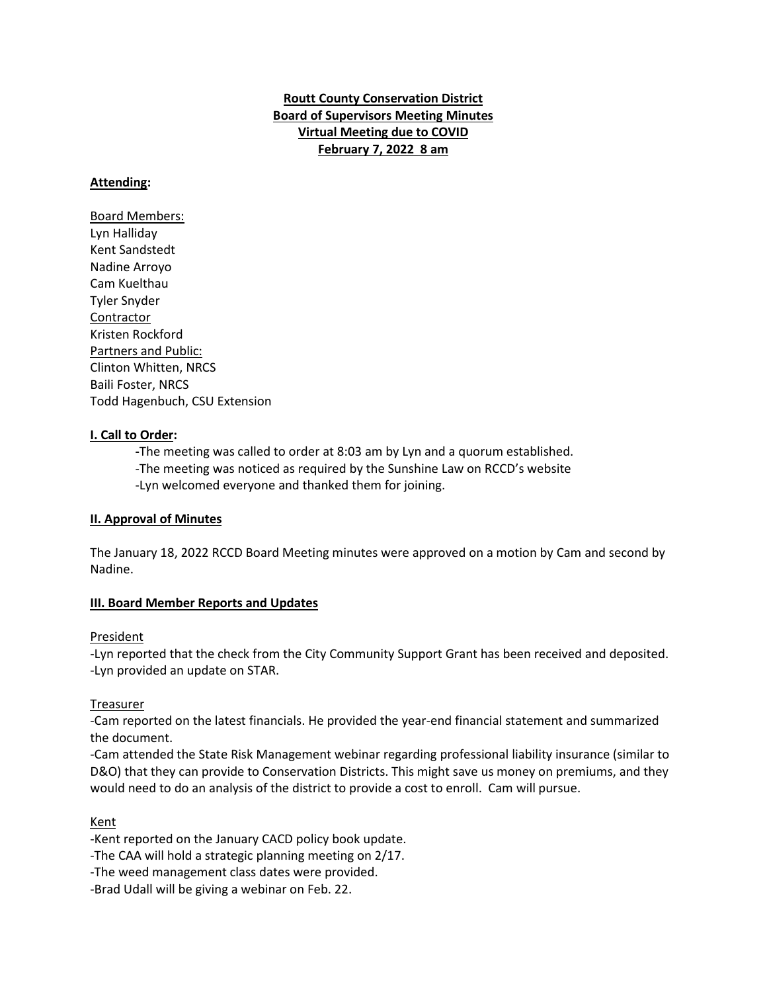**Routt County Conservation District Board of Supervisors Meeting Minutes Virtual Meeting due to COVID February 7, 2022 8 am**

## **Attending:**

Board Members: Lyn Halliday Kent Sandstedt Nadine Arroyo Cam Kuelthau Tyler Snyder Contractor Kristen Rockford Partners and Public: Clinton Whitten, NRCS Baili Foster, NRCS Todd Hagenbuch, CSU Extension

#### **I. Call to Order:**

**-**The meeting was called to order at 8:03 am by Lyn and a quorum established.

- -The meeting was noticed as required by the Sunshine Law on RCCD's website
- -Lyn welcomed everyone and thanked them for joining.

#### **II. Approval of Minutes**

The January 18, 2022 RCCD Board Meeting minutes were approved on a motion by Cam and second by Nadine.

#### **III. Board Member Reports and Updates**

#### President

-Lyn reported that the check from the City Community Support Grant has been received and deposited. -Lyn provided an update on STAR.

#### Treasurer

-Cam reported on the latest financials. He provided the year-end financial statement and summarized the document.

-Cam attended the State Risk Management webinar regarding professional liability insurance (similar to D&O) that they can provide to Conservation Districts. This might save us money on premiums, and they would need to do an analysis of the district to provide a cost to enroll. Cam will pursue.

## Kent

-Kent reported on the January CACD policy book update.

-The CAA will hold a strategic planning meeting on 2/17.

-The weed management class dates were provided.

-Brad Udall will be giving a webinar on Feb. 22.